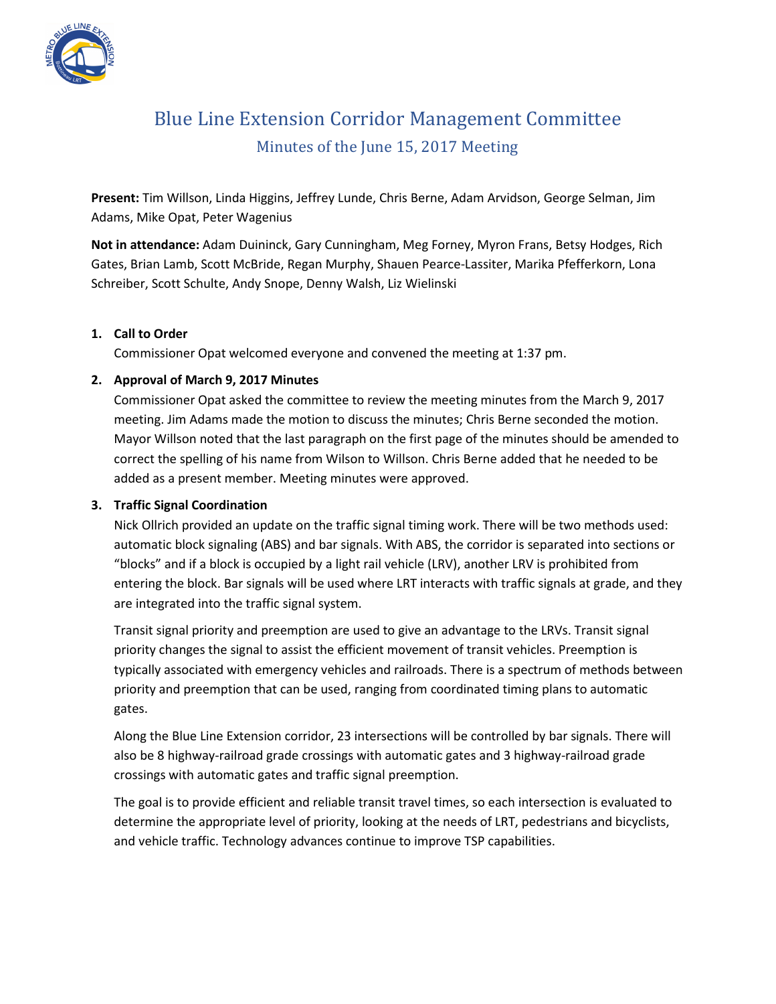

# Blue Line Extension Corridor Management Committee Minutes of the June 15, 2017 Meeting

**Present:** Tim Willson, Linda Higgins, Jeffrey Lunde, Chris Berne, Adam Arvidson, George Selman, Jim Adams, Mike Opat, Peter Wagenius

**Not in attendance:** Adam Duininck, Gary Cunningham, Meg Forney, Myron Frans, Betsy Hodges, Rich Gates, Brian Lamb, Scott McBride, Regan Murphy, Shauen Pearce-Lassiter, Marika Pfefferkorn, Lona Schreiber, Scott Schulte, Andy Snope, Denny Walsh, Liz Wielinski

### **1. Call to Order**

Commissioner Opat welcomed everyone and convened the meeting at 1:37 pm.

### **2. Approval of March 9, 2017 Minutes**

Commissioner Opat asked the committee to review the meeting minutes from the March 9, 2017 meeting. Jim Adams made the motion to discuss the minutes; Chris Berne seconded the motion. Mayor Willson noted that the last paragraph on the first page of the minutes should be amended to correct the spelling of his name from Wilson to Willson. Chris Berne added that he needed to be added as a present member. Meeting minutes were approved.

#### **3. Traffic Signal Coordination**

Nick Ollrich provided an update on the traffic signal timing work. There will be two methods used: automatic block signaling (ABS) and bar signals. With ABS, the corridor is separated into sections or "blocks" and if a block is occupied by a light rail vehicle (LRV), another LRV is prohibited from entering the block. Bar signals will be used where LRT interacts with traffic signals at grade, and they are integrated into the traffic signal system.

Transit signal priority and preemption are used to give an advantage to the LRVs. Transit signal priority changes the signal to assist the efficient movement of transit vehicles. Preemption is typically associated with emergency vehicles and railroads. There is a spectrum of methods between priority and preemption that can be used, ranging from coordinated timing plans to automatic gates.

Along the Blue Line Extension corridor, 23 intersections will be controlled by bar signals. There will also be 8 highway-railroad grade crossings with automatic gates and 3 highway-railroad grade crossings with automatic gates and traffic signal preemption.

The goal is to provide efficient and reliable transit travel times, so each intersection is evaluated to determine the appropriate level of priority, looking at the needs of LRT, pedestrians and bicyclists, and vehicle traffic. Technology advances continue to improve TSP capabilities.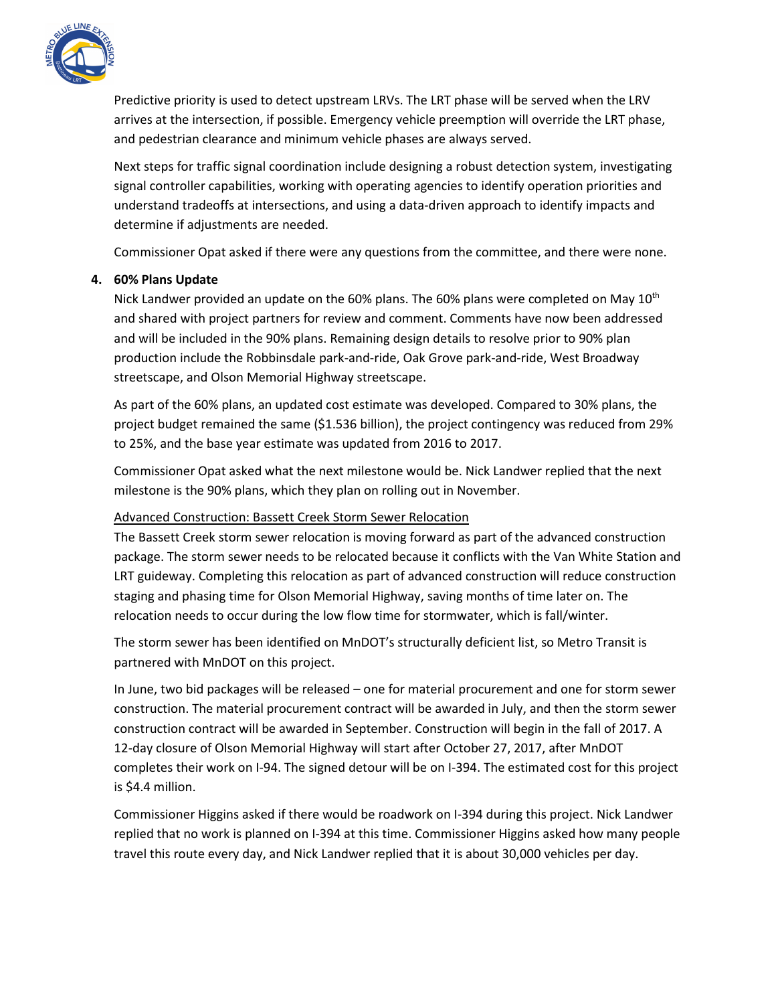

Predictive priority is used to detect upstream LRVs. The LRT phase will be served when the LRV arrives at the intersection, if possible. Emergency vehicle preemption will override the LRT phase, and pedestrian clearance and minimum vehicle phases are always served.

Next steps for traffic signal coordination include designing a robust detection system, investigating signal controller capabilities, working with operating agencies to identify operation priorities and understand tradeoffs at intersections, and using a data-driven approach to identify impacts and determine if adjustments are needed.

Commissioner Opat asked if there were any questions from the committee, and there were none.

### **4. 60% Plans Update**

Nick Landwer provided an update on the 60% plans. The 60% plans were completed on May 10<sup>th</sup> and shared with project partners for review and comment. Comments have now been addressed and will be included in the 90% plans. Remaining design details to resolve prior to 90% plan production include the Robbinsdale park-and-ride, Oak Grove park-and-ride, West Broadway streetscape, and Olson Memorial Highway streetscape.

As part of the 60% plans, an updated cost estimate was developed. Compared to 30% plans, the project budget remained the same (\$1.536 billion), the project contingency was reduced from 29% to 25%, and the base year estimate was updated from 2016 to 2017.

Commissioner Opat asked what the next milestone would be. Nick Landwer replied that the next milestone is the 90% plans, which they plan on rolling out in November.

## Advanced Construction: Bassett Creek Storm Sewer Relocation

The Bassett Creek storm sewer relocation is moving forward as part of the advanced construction package. The storm sewer needs to be relocated because it conflicts with the Van White Station and LRT guideway. Completing this relocation as part of advanced construction will reduce construction staging and phasing time for Olson Memorial Highway, saving months of time later on. The relocation needs to occur during the low flow time for stormwater, which is fall/winter.

The storm sewer has been identified on MnDOT's structurally deficient list, so Metro Transit is partnered with MnDOT on this project.

In June, two bid packages will be released – one for material procurement and one for storm sewer construction. The material procurement contract will be awarded in July, and then the storm sewer construction contract will be awarded in September. Construction will begin in the fall of 2017. A 12-day closure of Olson Memorial Highway will start after October 27, 2017, after MnDOT completes their work on I-94. The signed detour will be on I-394. The estimated cost for this project is \$4.4 million.

Commissioner Higgins asked if there would be roadwork on I-394 during this project. Nick Landwer replied that no work is planned on I-394 at this time. Commissioner Higgins asked how many people travel this route every day, and Nick Landwer replied that it is about 30,000 vehicles per day.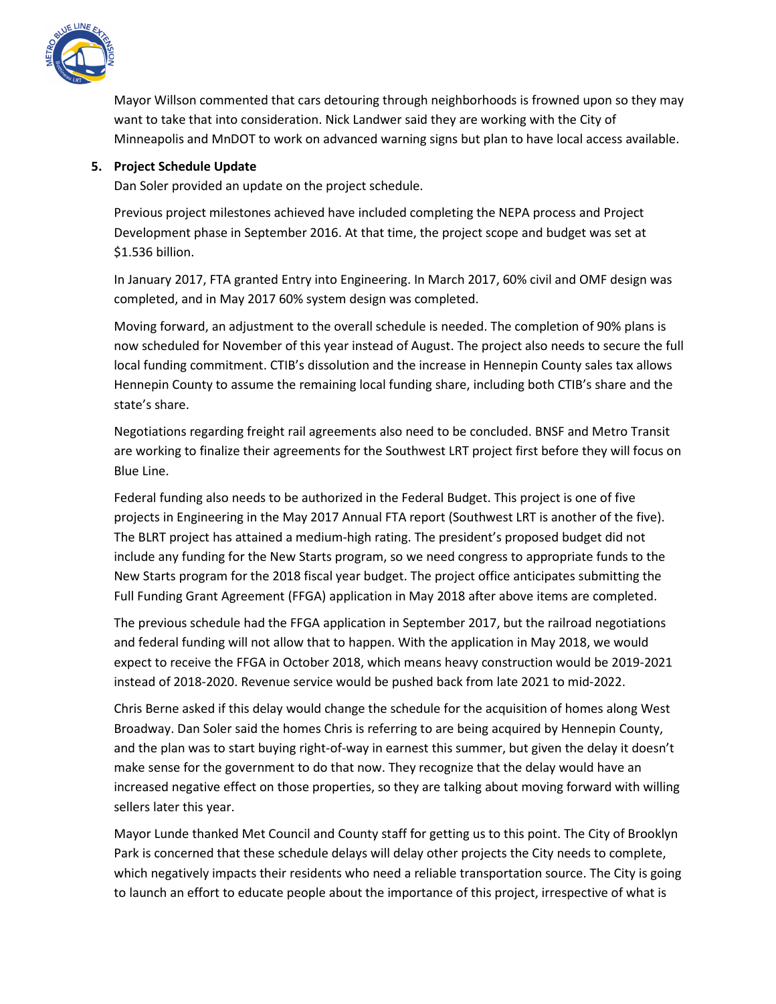

Mayor Willson commented that cars detouring through neighborhoods is frowned upon so they may want to take that into consideration. Nick Landwer said they are working with the City of Minneapolis and MnDOT to work on advanced warning signs but plan to have local access available.

### **5. Project Schedule Update**

Dan Soler provided an update on the project schedule.

Previous project milestones achieved have included completing the NEPA process and Project Development phase in September 2016. At that time, the project scope and budget was set at \$1.536 billion.

In January 2017, FTA granted Entry into Engineering. In March 2017, 60% civil and OMF design was completed, and in May 2017 60% system design was completed.

Moving forward, an adjustment to the overall schedule is needed. The completion of 90% plans is now scheduled for November of this year instead of August. The project also needs to secure the full local funding commitment. CTIB's dissolution and the increase in Hennepin County sales tax allows Hennepin County to assume the remaining local funding share, including both CTIB's share and the state's share.

Negotiations regarding freight rail agreements also need to be concluded. BNSF and Metro Transit are working to finalize their agreements for the Southwest LRT project first before they will focus on Blue Line.

Federal funding also needs to be authorized in the Federal Budget. This project is one of five projects in Engineering in the May 2017 Annual FTA report (Southwest LRT is another of the five). The BLRT project has attained a medium-high rating. The president's proposed budget did not include any funding for the New Starts program, so we need congress to appropriate funds to the New Starts program for the 2018 fiscal year budget. The project office anticipates submitting the Full Funding Grant Agreement (FFGA) application in May 2018 after above items are completed.

The previous schedule had the FFGA application in September 2017, but the railroad negotiations and federal funding will not allow that to happen. With the application in May 2018, we would expect to receive the FFGA in October 2018, which means heavy construction would be 2019-2021 instead of 2018-2020. Revenue service would be pushed back from late 2021 to mid-2022.

Chris Berne asked if this delay would change the schedule for the acquisition of homes along West Broadway. Dan Soler said the homes Chris is referring to are being acquired by Hennepin County, and the plan was to start buying right-of-way in earnest this summer, but given the delay it doesn't make sense for the government to do that now. They recognize that the delay would have an increased negative effect on those properties, so they are talking about moving forward with willing sellers later this year.

Mayor Lunde thanked Met Council and County staff for getting us to this point. The City of Brooklyn Park is concerned that these schedule delays will delay other projects the City needs to complete, which negatively impacts their residents who need a reliable transportation source. The City is going to launch an effort to educate people about the importance of this project, irrespective of what is